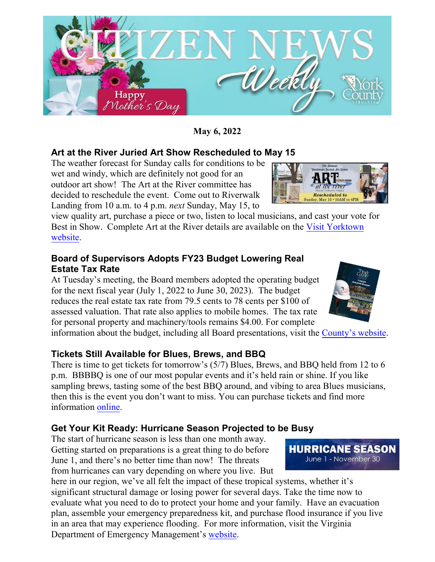

**May 6, 2022** 

## **Art at the River Juried Art Show Rescheduled to May 15**

The weather forecast for Sunday calls for conditions to be wet and windy, which are definitely not good for an outdoor art show! The Art at the River committee has decided to reschedule the event. Come out to Riverwalk Landing from 10 a.m. to 4 p.m. *next* Sunday, May 15, to

view quality art, purchase a piece or two, listen to local musicians, and cast your vote for Best in Show. Complete Art at the River details are available on the [Visit Yorktown](https://www.visityorktown.org/249/Art-at-the-River)  [website.](https://www.visityorktown.org/249/Art-at-the-River)

#### **Board of Supervisors Adopts FY23 Budget Lowering Real Estate Tax Rate**

At Tuesday's meeting, the Board members adopted the operating budget for the next fiscal year (July 1, 2022 to June 30, 2023). The budget reduces the real estate tax rate from 79.5 cents to 78 cents per \$100 of assessed valuation. That rate also applies to mobile homes. The tax rate for personal property and machinery/tools remains \$4.00. For complete

information about the budget, including all Board presentations, visit the [County's website.](https://www.yorkcounty.gov/558/Budget)

### **Tickets Still Available for Blues, Brews, and BBQ**

There is time to get tickets for tomorrow's (5/7) Blues, Brews, and BBQ held from 12 to 6 p.m. BBBBQ is one of our most popular events and it's held rain or shine. If you like sampling brews, tasting some of the best BBQ around, and vibing to area Blues musicians, then this is the event you don't want to miss. You can purchase tickets and find more informatio[n online.](https://villageevents.org/blues-brews-bbq/)

# **Get Your Kit Ready: Hurricane Season Projected to be Busy**

The start of hurricane season is less than one month away. Getting started on preparations is a great thing to do before June 1, and there's no better time than now! The threats from hurricanes can vary depending on where you live. But

here in our region, we've all felt the impact of these tropical systems, whether it's significant structural damage or losing power for several days. Take the time now to evaluate what you need to do to protect your home and your family. Have an evacuation plan, assemble your emergency preparedness kit, and purchase flood insurance if you live in an area that may experience flooding. For more information, visit the Virginia Department of Emergency Management'[s website.](https://www.vaemergency.gov/threats/hurricanes/)



**Rescheduled to** ay, May 15 . 10AM to 4PM